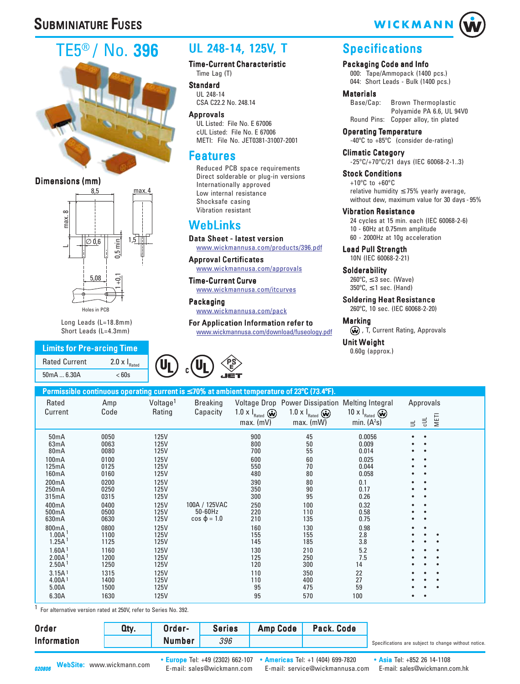# **SUBMINIATURE FUSES**

# TE5® / No. 396



#### Dimensions (mm)



Long Leads (L=18.8mm) Short Leads (L=4.3mm)

### **Limits for Pre-arcing Time** Rated Current 2.0  $\times$  I<sub>Rated</sub>

50mA ... 6.30A < 60s

## UL 248-14, 125V, T

Time-Current Characteristic Time Lag (T)

**Standard** UL 248-14 CSA C22.2 No. 248.14

Approvals UL Listed: File No. E 67006 cUL Listed: File No. E 67006 METI: File No. JET0381-31007-2001

### Features

Reduced PCB space requirements Direct solderable or plug-in versions Internationally approved Low internal resistance Shocksafe casing Vibration resistant

## [WebLinks](http://www.wickmannusa.com/products/396.pdf)

[Data Sheet - latest version](http://www.wickmannusa.com/products/396.pdf) [www.wickmannusa.com/products/396.pdf](http://www.wickmannusa.com/approvals)

[Approval Certificates](http://www.wickmannusa.com/approvals) [www.wickmannusa.com/approvals](http://www.wickmannusa.com/itcurves)

[Time-Current Curve](http://www.wickmannusa.com/itcurves) [www.wickmannusa.com/itcurves](http://www.wickmannusa.com/pack)

[Packaging](http://www.wickmannusa.com/pack) [www.wickmannusa.com/pack](www.wickmannusa.com/download/fuseology.pdf)

[For Application Information refer to](www.wickmannusa.com/download/fuseology.pdf) www.wickmannusa.com/download/fuseology.pdf



### **Specifications**

Packaging Code and Info

000: Tape/Ammopack (1400 pcs.) 044: Short Leads - Bulk (1400 pcs.)

## **Materials**<br>Base/Cap:

Brown Thermoplastic Polyamide PA 6.6, UL 94V0 Round Pins: Copper alloy, tin plated

Operating Temperature -40ºC to +85ºC (consider de-rating)

Climatic Category -25ºC/+70ºC/21 days (IEC 60068-2-1..3)

Stock Conditions  $+10^{\circ}$ C to  $+60^{\circ}$ C relative humidity  $\leq$  75% yearly average, without dew, maximum value for 30 days - 95%

#### Vibration Resistance

24 cycles at 15 min. each (IEC 60068-2-6) 10 - 60Hz at 0.75mm amplitude 60 - 2000Hz at 10g acceleration

Lead Pull Strength 10N (IEC 60068-2-21)

**Solderability**  $260^{\circ}$ C,  $\leq$  3 sec. (Wave)  $350^{\circ}$ C,  $\leq$  1 sec. (Hand)

Soldering Heat Resistance 260ºC, 10 sec. (IEC 60068-2-20)

#### **Marking**

(w), T, Current Rating, Approvals

# Unit Weight<br>0.60g (approx.)

|                                                                                                                                                                                                                                                                                                                      |                                                                                                                                                                              |                                                                                                                                                                                                          |                                                 |                                                                                                                                                      | Permissible continuous operating current is ≤ 70% at ambient temperature of 23°C (73.4°F).                                                    |                                                                                                                                                                       |                                    |
|----------------------------------------------------------------------------------------------------------------------------------------------------------------------------------------------------------------------------------------------------------------------------------------------------------------------|------------------------------------------------------------------------------------------------------------------------------------------------------------------------------|----------------------------------------------------------------------------------------------------------------------------------------------------------------------------------------------------------|-------------------------------------------------|------------------------------------------------------------------------------------------------------------------------------------------------------|-----------------------------------------------------------------------------------------------------------------------------------------------|-----------------------------------------------------------------------------------------------------------------------------------------------------------------------|------------------------------------|
| Rated<br>Current                                                                                                                                                                                                                                                                                                     | Amp<br>Code                                                                                                                                                                  | Voltage <sup>1</sup><br>Rating                                                                                                                                                                           | <b>Breaking</b><br>Capacity                     | 1.0 $\times$ $\mathsf{I}_{\text{Rated}}$ $\omega$<br>$max.$ (mV)                                                                                     | Voltage Drop Power Dissipation Melting Integral<br>1.0 $\times$ $\mathsf{I}_{\text{Rated}}$ $\bigcirc$<br>max. (mW)                           | 10 x $I_{\text{Rated}}$ $\omega$<br>min. $(A2s)$                                                                                                                      | Approvals<br>METI<br>빙<br>$\equiv$ |
| 50mA<br>63mA<br>80 <sub>m</sub> A<br>100mA<br>125mA<br>160mA<br>200mA<br>250mA<br>315mA<br>400mA<br>500 <sub>m</sub> A<br>630mA<br>800mA<br>1.00A <sup>1</sup><br>1.25A <sup>1</sup><br>1.60A <sup>1</sup><br>2.00A <sup>1</sup><br>2.50A <sup>1</sup><br>3.15A <sup>1</sup><br>4.00A <sup>1</sup><br>5.00A<br>6.30A | 0050<br>0063<br>0080<br>0100<br>0125<br>0160<br>0200<br>0250<br>0315<br>0400<br>0500<br>0630<br>0800<br>1100<br>1125<br>1160<br>1200<br>1250<br>1315<br>1400<br>1500<br>1630 | 125V<br>125V<br>125V<br><b>125V</b><br>125V<br>125V<br>125V<br>125V<br>125V<br>125V<br>125V<br>125V<br>125V<br><b>125V</b><br>125V<br><b>125V</b><br>125V<br>125V<br><b>125V</b><br>125V<br>125V<br>125V | 100A / 125VAC<br>50-60Hz<br>$cos \varphi = 1.0$ | 900<br>800<br>700<br>600<br>550<br>480<br>390<br>350<br>300<br>250<br>220<br>210<br>160<br>155<br>145<br>130<br>125<br>120<br>110<br>110<br>95<br>95 | 45<br>50<br>55<br>60<br>70<br>80<br>80<br>90<br>95<br>100<br>110<br>135<br>130<br>155<br>185<br>210<br>250<br>300<br>350<br>400<br>475<br>570 | 0.0056<br>0.009<br>0.014<br>0.025<br>0.044<br>0.058<br>0.1<br>0.17<br>0.26<br>0.32<br>0.58<br>0.75<br>0.98<br>2.8<br>3.8<br>5.2<br>7.5<br>14<br>22<br>27<br>59<br>100 |                                    |

1 For alternative version rated at 250V, refer to Series No. 392.

|                    |        |     | <b>Amp Code</b> | Pack. Code |                                                      |
|--------------------|--------|-----|-----------------|------------|------------------------------------------------------|
| <b>Information</b> | Number | 396 |                 |            | Specifications are subject to change without notice. |